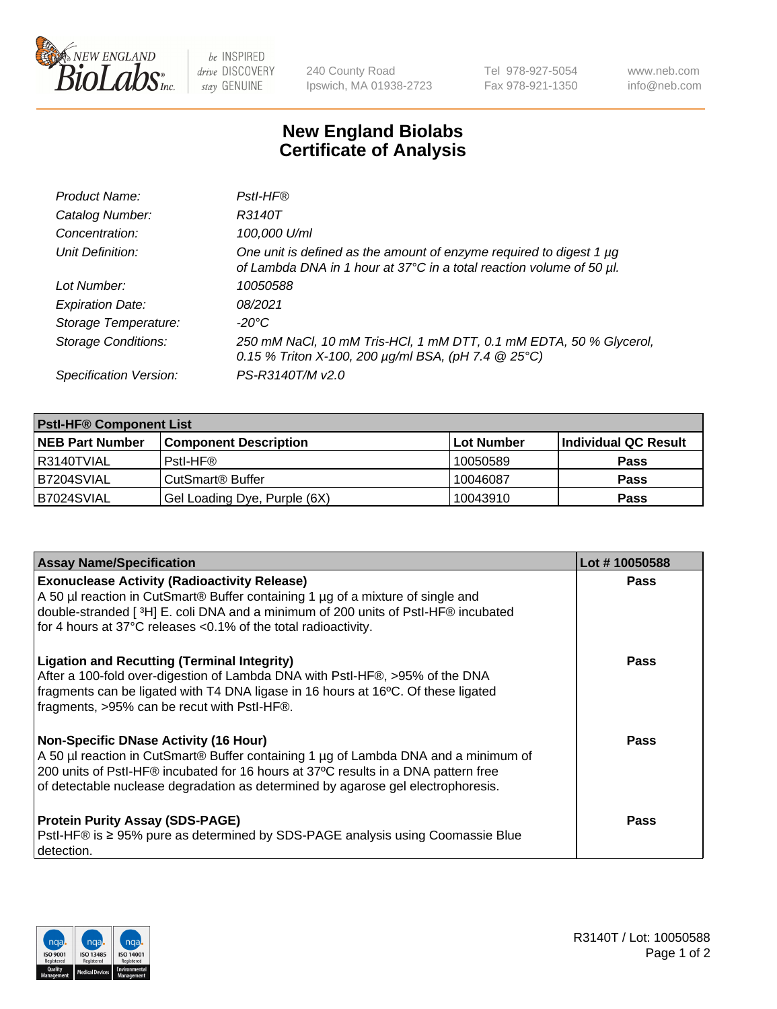

 $be$  INSPIRED drive DISCOVERY stay GENUINE

240 County Road Ipswich, MA 01938-2723 Tel 978-927-5054 Fax 978-921-1350 www.neb.com info@neb.com

## **New England Biolabs Certificate of Analysis**

| Product Name:              | Pstl-HF®                                                                                                                                             |
|----------------------------|------------------------------------------------------------------------------------------------------------------------------------------------------|
| Catalog Number:            | R3140T                                                                                                                                               |
| Concentration:             | 100,000 U/ml                                                                                                                                         |
| Unit Definition:           | One unit is defined as the amount of enzyme required to digest 1 µg<br>of Lambda DNA in 1 hour at 37°C in a total reaction volume of 50 µl.          |
| Lot Number:                | 10050588                                                                                                                                             |
| <b>Expiration Date:</b>    | 08/2021                                                                                                                                              |
| Storage Temperature:       | -20°C                                                                                                                                                |
| <b>Storage Conditions:</b> | 250 mM NaCl, 10 mM Tris-HCl, 1 mM DTT, 0.1 mM EDTA, 50 % Glycerol,<br>0.15 % Triton X-100, 200 $\mu$ g/ml BSA, (pH 7.4 $\textcircled{25}^{\circ}$ C) |
| Specification Version:     | PS-R3140T/M v2.0                                                                                                                                     |

| <b>PstI-HF® Component List</b> |                              |            |                      |  |
|--------------------------------|------------------------------|------------|----------------------|--|
| <b>NEB Part Number</b>         | <b>Component Description</b> | Lot Number | Individual QC Result |  |
| R3140TVIAL                     | Pstl-HF®                     | 10050589   | <b>Pass</b>          |  |
| B7204SVIAL                     | CutSmart <sup>®</sup> Buffer | 10046087   | <b>Pass</b>          |  |
| B7024SVIAL                     | Gel Loading Dye, Purple (6X) | 10043910   | <b>Pass</b>          |  |

| <b>Assay Name/Specification</b>                                                                                                                                                                                                                                                                        | Lot #10050588 |
|--------------------------------------------------------------------------------------------------------------------------------------------------------------------------------------------------------------------------------------------------------------------------------------------------------|---------------|
| <b>Exonuclease Activity (Radioactivity Release)</b><br>A 50 µl reaction in CutSmart® Buffer containing 1 µg of a mixture of single and                                                                                                                                                                 | <b>Pass</b>   |
| double-stranded [3H] E. coli DNA and a minimum of 200 units of PstI-HF® incubated<br>for 4 hours at 37°C releases <0.1% of the total radioactivity.                                                                                                                                                    |               |
| <b>Ligation and Recutting (Terminal Integrity)</b><br>After a 100-fold over-digestion of Lambda DNA with PstI-HF®, >95% of the DNA<br>fragments can be ligated with T4 DNA ligase in 16 hours at 16°C. Of these ligated<br>fragments, >95% can be recut with Pstl-HF®.                                 | <b>Pass</b>   |
| Non-Specific DNase Activity (16 Hour)<br>A 50 µl reaction in CutSmart® Buffer containing 1 µg of Lambda DNA and a minimum of<br>200 units of PstI-HF® incubated for 16 hours at 37°C results in a DNA pattern free<br>of detectable nuclease degradation as determined by agarose gel electrophoresis. | Pass          |
| <b>Protein Purity Assay (SDS-PAGE)</b><br>PstI-HF® is ≥ 95% pure as determined by SDS-PAGE analysis using Coomassie Blue<br>I detection.                                                                                                                                                               | <b>Pass</b>   |